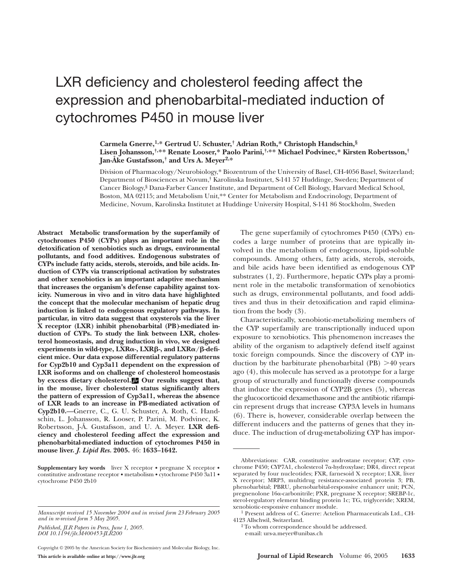# LXR deficiency and cholesterol feeding affect the expression and phenobarbital-mediated induction of cytochromes P450 in mouse liver

## **Carmela Gnerre,1,\* Gertrud U. Schuster,† Adrian Roth,\* Christoph Handschin,§ Lisen Johansson,†,\*\* Renate Looser,\* Paolo Parini,†,\*\* Michael Podvinec,\* Kirsten Robertsson,† Jan-Åke Gustafsson,† and Urs A. Meyer2,\***

Division of Pharmacology/Neurobiology,\* Biozentrum of the University of Basel, CH-4056 Basel, Switzerland; Department of Biosciences at Novum,† Karolinska Institutet, S-141 57 Huddinge, Sweden; Department of Cancer Biology,§ Dana-Farber Cancer Institute, and Department of Cell Biology, Harvard Medical School, Boston, MA 02115; and Metabolism Unit,\*\* Center for Metabolism and Endocrinology, Department of Medicine, Novum, Karolinska Institutet at Huddinge University Hospital, S-141 86 Stockholm, Sweden

**Abstract Metabolic transformation by the superfamily of cytochromes P450 (CYPs) plays an important role in the detoxification of xenobiotics such as drugs, environmental pollutants, and food additives. Endogenous substrates of CYPs include fatty acids, sterols, steroids, and bile acids. Induction of CYPs via transcriptional activation by substrates and other xenobiotics is an important adaptive mechanism that increases the organism's defense capability against toxicity. Numerous in vivo and in vitro data have highlighted the concept that the molecular mechanism of hepatic drug induction is linked to endogenous regulatory pathways. In particular, in vitro data suggest that oxysterols via the liver X receptor (LXR) inhibit phenobarbital (PB)-mediated induction of CYPs. To study the link between LXR, cholesterol homeostasis, and drug induction in vivo, we designed experiments in wild-type, LXRα-, LXRβ-, and LXRα/β-deficient mice. Our data expose differential regulatory patterns for Cyp2b10 and Cyp3a11 dependent on the expression of LXR isoforms and on challenge of cholesterol homeostasis by excess dietary cholesterol. Our results suggest that, in the mouse, liver cholesterol status significantly alters the pattern of expression of Cyp3a11, whereas the absence of LXR leads to an increase in PB-mediated activation of Cyp2b10.**—Gnerre, C., G. U. Schuster, A. Roth, C. Handschin, L. Johansson, R. Looser, P. Parini, M. Podvinec, K. Robertsson, J-Å. Gustafsson, and U. A. Meyer. **LXR deficiency and cholesterol feeding affect the expression and phenobarbital-mediated induction of cytochromes P450 in mouse liver.** *J. Lipid Res.* **2005.** 46: **1633–1642.**

**Supplementary key words** liver X receptor • pregnane X receptor • constitutive androstane receptor • metabolism • cytochrome P450 3a11 • cytochrome P450 2b10

*Published, JLR Papers in Press, June 1, 2005. DOI 10.1194/jlr.M400453-JLR200*

Copyright © 2005 by the American Society for Biochemistry and Molecular Biology, Inc. **This article is available online at http://www.jlr.org Journal of Lipid Research** Volume 46, 2005 **1633**

The gene superfamily of cytochromes P450 (CYPs) encodes a large number of proteins that are typically involved in the metabolism of endogenous, lipid-soluble compounds. Among others, fatty acids, sterols, steroids, and bile acids have been identified as endogenous CYP substrates (1, 2). Furthermore, hepatic CYPs play a prominent role in the metabolic transformation of xenobiotics such as drugs, environmental pollutants, and food additives and thus in their detoxification and rapid elimination from the body (3).

Characteristically, xenobiotic-metabolizing members of the CYP superfamily are transcriptionally induced upon exposure to xenobiotics. This phenomenon increases the ability of the organism to adaptively defend itself against toxic foreign compounds. Since the discovery of CYP induction by the barbiturate phenobarbital (PB)  $>40$  years ago (4), this molecule has served as a prototype for a large group of structurally and functionally diverse compounds that induce the expression of CYP2B genes (5), whereas the glucocorticoid dexamethasone and the antibiotic rifampicin represent drugs that increase CYP3A levels in humans (6). There is, however, considerable overlap between the different inducers and the patterns of genes that they induce. The induction of drug-metabolizing CYP has impor-

*Manuscript received 15 November 2004 and in revised form 23 February 2005 and in re-revised form 5 May 2005.*

Abbreviations: CAR, constitutive androstane receptor; CYP, cytochrome P450; CYP7A1, cholesterol 7α-hydroxylase; DR4, direct repeat separated by four nucleotides; FXR, farnesoid X receptor; LXR, liver X receptor; MRP3, multidrug resistance-associated protein 3; PB, phenobarbital; PBRU, phenobarbital-responsive enhancer unit; PCN, pregnenolone 16a-carbonitrile; PXR, pregnane X receptor; SREBP-1c, sterol-regulatory element binding protein 1c; TG, triglyceride; XREM, xenobiotic-responsive enhancer module.

<sup>1</sup> Present address of C. Gnerre: Actelion Pharmaceuticals Ltd., CH-4123 Allschwil, Switzerland.

<sup>2</sup> To whom correspondence should be addressed.

e-mail: urs-a.meyer@unibas.ch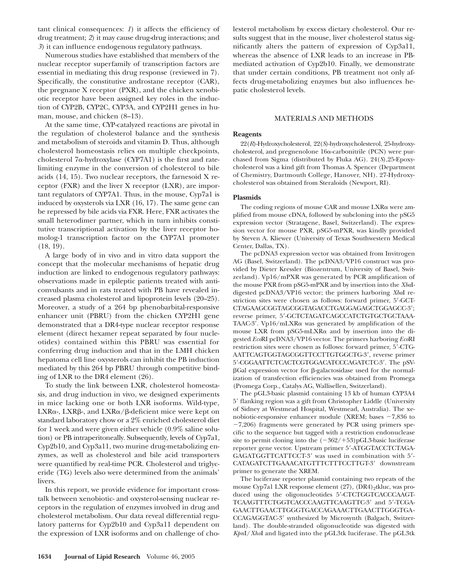tant clinical consequences: *1*) it affects the efficiency of drug treatment; *2*) it may cause drug-drug interactions; and *3*) it can influence endogenous regulatory pathways.

Numerous studies have established that members of the nuclear receptor superfamily of transcription factors are essential in mediating this drug response (reviewed in 7). Specifically, the constitutive androstane receptor (CAR), the pregnane X receptor (PXR), and the chicken xenobiotic receptor have been assigned key roles in the induction of CYP2B, CYP2C, CYP3A, and CYP2H1 genes in human, mouse, and chicken (8–13).

At the same time, CYP-catalyzed reactions are pivotal in the regulation of cholesterol balance and the synthesis and metabolism of steroids and vitamin D. Thus, although cholesterol homeostasis relies on multiple checkpoints, cholesterol 7a-hydroxylase (CYP7A1) is the first and ratelimiting enzyme in the conversion of cholesterol to bile acids (14, 15). Two nuclear receptors, the farnesoid X receptor (FXR) and the liver X receptor (LXR), are important regulators of CYP7A1. Thus, in the mouse, Cyp7a1 is induced by oxysterols via LXR (16, 17). The same gene can be repressed by bile acids via FXR. Here, FXR activates the small heterodimer partner, which in turn inhibits constitutive transcriptional activation by the liver receptor homolog-1 transcription factor on the CYP7A1 promoter (18, 19).

A large body of in vivo and in vitro data support the concept that the molecular mechanisms of hepatic drug induction are linked to endogenous regulatory pathways: observations made in epileptic patients treated with anticonvulsants and in rats treated with PB have revealed increased plasma cholesterol and lipoprotein levels (20–25). Moreover, a study of a 264 bp phenobarbital-responsive enhancer unit (PBRU) from the chicken CYP2H1 gene demonstrated that a DR4-type nuclear receptor response element (direct hexamer repeat separated by four nucleotides) contained within this PBRU was essential for conferring drug induction and that in the LMH chicken hepatoma cell line oxysterols can inhibit the PB induction mediated by this 264 bp PBRU through competitive binding of LXR to the DR4 element (26).

To study the link between LXR, cholesterol homeostasis, and drug induction in vivo, we designed experiments in mice lacking one or both LXR isoforms. Wild-type, LXRα-, LXRβ-, and LXRα/β-deficient mice were kept on standard laboratory chow or a 2% enriched cholesterol diet for 1 week and were given either vehicle (0.9% saline solution) or PB intraperitoneally. Subsequently, levels of Cyp7a1, Cyp2b10, and Cyp3a11, two murine drug-metabolizing enzymes, as well as cholesterol and bile acid transporters were quantified by real-time PCR. Cholesterol and triglyceride (TG) levels also were determined from the animals' livers.

In this report, we provide evidence for important crosstalk between xenobiotic- and oxysterol-sensing nuclear receptors in the regulation of enzymes involved in drug and cholesterol metabolism. Our data reveal differential regulatory patterns for Cyp2b10 and Cyp3a11 dependent on the expression of LXR isoforms and on challenge of cholesterol metabolism by excess dietary cholesterol. Our results suggest that in the mouse, liver cholesterol status significantly alters the pattern of expression of Cyp3a11, whereas the absence of LXR leads to an increase in PBmediated activation of Cyp2b10. Finally, we demonstrate that under certain conditions, PB treatment not only affects drug-metabolizing enzymes but also influences hepatic cholesterol levels.

## MATERIALS AND METHODS

#### **Reagents**

22(*R*)-Hydroxycholesterol, 22(*S*)-hydroxycholesterol, 25-hydroxycholesterol, and pregnenolone 16a-carbonitrile (PCN) were purchased from Sigma (distributed by Fluka AG). 24(*S*),25-Epoxycholesterol was a kind gift from Thomas A. Spencer (Department of Chemistry, Dartmouth College, Hanover, NH). 27-Hydroxycholesterol was obtained from Steraloids (Newport, RI).

## **Plasmids**

The coding regions of mouse CAR and mouse LXRa were amplified from mouse cDNA, followed by subcloning into the pSG5 expression vector (Stratagene, Basel, Switzerland). The expression vector for mouse PXR, pSG5-mPXR, was kindly provided by Steven A. Kliewer (University of Texas Southwestern Medical Center, Dallas, TX).

The pcDNA3 expression vector was obtained from Invitrogen AG (Basel, Switzerland). The pcDNA3/VP16 construct was provided by Dieter Kressler (Biozentrum, University of Basel, Switzerland). Vp16/mPXR was generated by PCR amplification of the mouse PXR from pSG5-mPXR and by insertion into the *Xba*Idigested pcDNA3/VP16 vector; the primers harboring *Xba*I restriction sites were chosen as follows: forward primer, 5-GCT-CTAGAAGCGGTAGCGGTAGACCTGAGGAGAGCTGGAGCC-3; reverse primer, 5'-GCTCTAGATCAGCCATCTGTGCTGCTAAA-TAAC-3'. Vp16/mLXRa was generated by amplification of the mouse LXR from pSG5-mLXR $\alpha$  and by insertion into the digested *Eco*RI pcDNA3/VP16 vector. The primers harboring *Eco*RI restriction sites were chosen as follows: forward primer, 5-CTG-AATTCAGTGGTAGCGGTTCCTTGTGGCTG-3, reverse primer 5-CGGAATTCTCACTCGTGGACATCCCAGATCTC-3. The pSV-  $\beta$ Gal expression vector for  $\beta$ -galactosidase used for the normalization of transfection efficiencies was obtained from Promega (Promega Corp., Catalys AG, Wallisellen, Switzerland).

The pGL3-basic plasmid containing 13 kb of human CYP3A4 5 flanking region was a gift from Christopher Liddle (University of Sidney at Westmead Hospital, Westmead, Australia). The xenobiotic-responsive enhancer module (XREM; bases  $-7,836$  to  $-7,206$ ) fragments were generated by PCR using primers specific to the sequence but tagged with a restriction endonuclease site to permit cloning into the  $(-362/53)pGL3$ -basic luciferase reporter gene vector. Upstream primer 5-ATGGTACCTCTAGA-GAGATGGTTCATTCCT-3' was used in combination with 5'-CATAGATCTTGAAACATGTTTCTTTCCTTGT-3 downstream primer to generate the XREM.

The luciferase reporter plasmid containing two repeats of the mouse Cyp7a1 LXR response element  $(27)$ ,  $(DR4)$ <sub>2</sub>tkluc, was produced using the oligonucleotides 5'-CTCTGGTCACCCAAGT-TCAAGTTTCTGGTCACCCAAGTTCAAGTTC-3' and 5'-TCGA-GAACTTGAACTTGGGTGACCAGAAACTTGAACTTGGGTGA-CCAGAGGTAC-3 synthesized by Microsynth (Balgach, Switzerland). The double-stranded oligonucleotide was digested with *Kpn*I/*Xho*I and ligated into the pGL3tk luciferase. The pGL3tk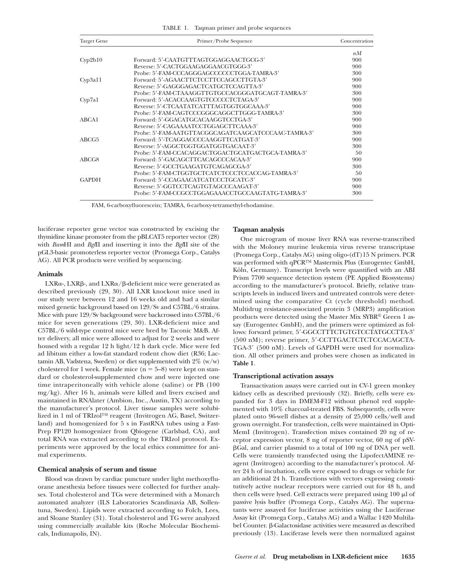TABLE 1. Taqman primer and probe sequences

| <b>Target Gene</b> | Primer/Probe Sequence                               | Concentration |
|--------------------|-----------------------------------------------------|---------------|
|                    |                                                     | nM            |
| Cyp2b10            | Forward: 5'-CAATGTTTAGTGGAGGAACTGCG-3'              | 900           |
|                    | Reverse: 5'-CACTGGAAGAGGAACGTGGG-3'                 | 900           |
|                    | Probe: 5'-FAM-CCCAGGGAGCCCCCCCTGGA-TAMRA-3'         | 300           |
| Cyp3a11            | Forward: 5'-AGAACTTCTCCTTCCAGCCTTGTA-3'             | 900           |
|                    | Reverse: 5'-GAGGGAGACTCATGCTCCAGTTA-3'              | 900           |
|                    | Probe: 5'-FAM-CTAAAGGTTGTGCCACGGGATGCAGT-TAMRA-3'   | 300           |
| Cyp7a1             | Forward: 5'-ACACCAAGTGTCCCCCTCTAGA-3'               | 900           |
|                    | Reverse: 5'-CTCAATATCATTTAGTGGTGGCAAA-3'            | 900           |
|                    | Probe: 5'-FAM-CAGTCCCGGGCAGGCTTGGG-TAMRA-3'         | 300           |
| ABCA1              | Forward: 5'-GGACATGCACAAGGTCCTGA-3'                 | 900           |
|                    | Reverse: 5'-CAGAAAATCCTGGAGCTTCAAA-3'               | 900           |
|                    | Probe: 5'-FAM-AATGTTACGGCAGATCAAGCATCCCAAC-TAMRA-3' | 300           |
| ABCG5              | Forward: 5'-TCAGGACCCCAAGGTTCATGAT-3'               | 900           |
|                    | Reverse: 5'-AGGCTGGTGGATGGTGACAAT-3'                | 300           |
|                    | Probe: 5'-FAM-CCACAGGACTGGACTGCATGACTGCA-TAMRA-3'   | 50            |
| ABCG8              | Forward: 5'-GACAGCTTCACAGCCCACAA-3'                 | 900           |
|                    | Reverse: 5'-GCCTGAAGATGTCAGAGCGA-3'                 | 300           |
|                    | Probe: 5'-FAM-CTGGTGCTCATCTCCCTCCACCAG-TAMRA-3'     | 50            |
| <b>GAPDH</b>       | Forward: 5'-CCAGAACATCATCCCTGCATC-3'                | 900           |
|                    | Reverse: 5'-GGTCCTCAGTGTAGCCCAAGAT-3'               | 900           |
|                    | Probe: 5'-FAM-CCGCCTGGAGAAACCTGCCAAGTATG-TAMRA-3'   | 300           |

FAM, 6-carboxyfluorescein; TAMRA, 6-carboxy-tetramethyl-rhodamine.

luciferase reporter gene vector was constructed by excising the thymidine kinase promoter from the pBLCAT5 reporter vector (28) with *Bam*HI and *Bgl*II and inserting it into the *Bgl*II site of the pGL3-basic promoterless reporter vector (Promega Corp., Catalys AG). All PCR products were verified by sequencing.

#### **Animals**

 $LXR\alpha$ -,  $LXR\beta$ -, and  $LXR\alpha/\beta$ -deficient mice were generated as described previously (29, 30). All LXR knockout mice used in our study were between 12 and 16 weeks old and had a similar mixed genetic background based on 129/Sv and C57BL/6 strains. Mice with pure 129/Sv background were backcrossed into C57BL/6 mice for seven generations (29, 30). LXR-deficient mice and C57BL/6 wild-type control mice were bred by Taconic M&B. After delivery, all mice were allowed to adjust for 2 weeks and were housed with a regular 12 h light/12 h dark cycle. Mice were fed ad libitum either a low-fat standard rodent chow diet (R36; Lactamin AB, Vadstena, Sweden) or diet supplemented with  $2\%$  (w/w) cholesterol for 1 week. Female mice  $(n = 5-8)$  were kept on standard or cholesterol-supplemented chow and were injected one time intraperitoneally with vehicle alone (saline) or PB (100 mg/kg). After 16 h, animals were killed and livers excised and maintained in RNAlater (Ambion, Inc., Austin, TX) according to the manufacturer's protocol. Liver tissue samples were solubilized in 1 ml of TRIzol™ reagent (Invitrogen AG, Basel, Switzerland) and homogenized for 5 s in FastRNA tubes using a Fast-Prep FP120 homogenizer from Qbiogene (Carlsbad, CA), and total RNA was extracted according to the TRIzol protocol. Experiments were approved by the local ethics committee for animal experiments.

#### **Chemical analysis of serum and tissue**

Blood was drawn by cardiac puncture under light methoxyfluorane anesthesia before tissues were collected for further analyses. Total cholesterol and TGs were determined with a Monarch automated analyzer (ILS Laboratories Scandinavia AB, Sollentuna, Sweden). Lipids were extracted according to Folch, Lees, and Sloane Stanley (31). Total cholesterol and TG were analyzed using commercially available kits (Roche Molecular Biochemicals, Indianapolis, IN).

#### **Taqman analysis**

One microgram of mouse liver RNA was reverse-transcribed with the Moloney murine leukemia virus reverse transcriptase (Promega Corp., Catalys AG) using oligo-(dT)15 N primers. PCR was performed with qPCR™ Mastermix Plus (Eurogentec GmbH, Köln, Germany). Transcript levels were quantified with an ABI Prism 7700 sequence detection system (PE Applied Biosystems) according to the manufacturer's protocol. Briefly, relative transcripts levels in induced livers and untreated controls were determined using the comparative Ct (cycle threshold) method. Multidrug resistance-associated protein 3 (MRP3) amplification products were detected using the Master Mix SYBR® Green 1 assay (Eurogentec GmbH), and the primers were optimized as follows: forward primer, 5'-GGCCTTTCTGTGTCCTATGCCTTA-3' (500 nM); reverse primer, 5'-CCTTGACTCTCTCCACAGCTA-TGA-3' (500 nM). Levels of GAPDH were used for normalization. All other primers and probes were chosen as indicated in **Table 1**.

#### **Transcriptional activation assays**

Transactivation assays were carried out in CV-1 green monkey kidney cells as described previously (32). Briefly, cells were expanded for 3 days in DMEM-F12 without phenol red supplemented with 10% charcoal-treated FBS. Subsequently, cells were plated onto 96-well dishes at a density of 25,000 cells/well and grown overnight. For transfection, cells were maintained in Opti-MemI (Invitrogen). Transfection mixes contained 20 ng of receptor expression vector, 8 ng of reporter vector, 60 ng of pSV-  $\beta$ Gal, and carrier plasmid to a total of 100 ng of DNA per well. Cells were transiently transfected using the LipofectAMINE reagent (Invitrogen) according to the manufacturer's protocol. After 24 h of incubation, cells were exposed to drugs or vehicle for an additional 24 h. Transfections with vectors expressing constitutively active nuclear receptors were carried out for 48 h, and then cells were lysed. Cell extracts were prepared using  $100 \mu l$  of passive lysis buffer (Promega Corp., Catalys AG). The supernatants were assayed for luciferase activities using the Luciferase Assay kit (Promega Corp., Catalys AG) and a Wallac 1420 Multilabel Counter.  $\beta$ -Galactosidase activities were measured as described previously (13). Luciferase levels were then normalized against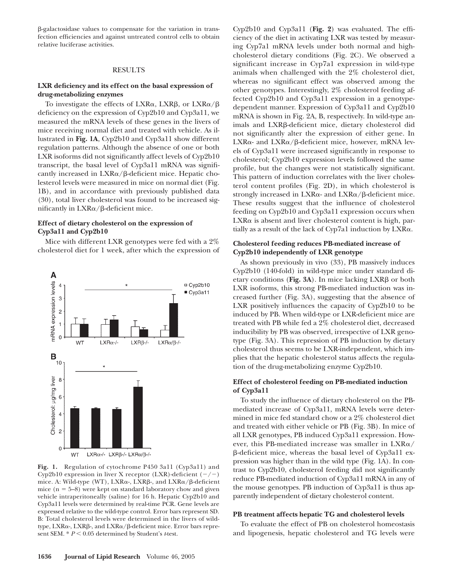-galactosidase values to compensate for the variation in transfection efficiencies and against untreated control cells to obtain relative luciferase activities.

## RESULTS

# **LXR deficiency and its effect on the basal expression of drug-metabolizing enzymes**

To investigate the effects of  $LXR\alpha$ ,  $LXR\beta$ , or  $LXR\alpha/\beta$ deficiency on the expression of Cyp2b10 and Cyp3a11, we measured the mRNA levels of these genes in the livers of mice receiving normal diet and treated with vehicle. As illustrated in **Fig. 1A**, Cyp2b10 and Cyp3a11 show different regulation patterns. Although the absence of one or both LXR isoforms did not significantly affect levels of Cyp2b10 transcript, the basal level of Cyp3a11 mRNA was significantly increased in  $LXR\alpha/\beta$ -deficient mice. Hepatic cholesterol levels were measured in mice on normal diet (Fig. 1B), and in accordance with previously published data (30), total liver cholesterol was found to be increased significantly in LXRa/ $\beta$ -deficient mice.

# **Effect of dietary cholesterol on the expression of Cyp3a11 and Cyp2b10**

Mice with different LXR genotypes were fed with a 2% cholesterol diet for 1 week, after which the expression of



**Fig. 1.** Regulation of cytochrome P450 3a11 (Cyp3a11) and Cyp2b10 expression in liver X receptor (LXR)-deficient  $(-/-)$ mice. A: Wild-type (WT), LXRa-, LXRß-, and LXRa/ß-deficient mice  $(n = 5-8)$  were kept on standard laboratory chow and given vehicle intraperitoneally (saline) for 16 h. Hepatic Cyp2b10 and Cyp3a11 levels were determined by real-time PCR. Gene levels are expressed relative to the wild-type control. Error bars represent SD. B: Total cholesterol levels were determined in the livers of wildtype, LXRα-, LXRβ-, and LXRα/β-deficient mice. Error bars represent SEM. \*  $P$  < 0.05 determined by Student's *t*-test.

Cyp2b10 and Cyp3a11 (**Fig. 2**) was evaluated. The efficiency of the diet in activating LXR was tested by measuring Cyp7a1 mRNA levels under both normal and highcholesterol dietary conditions (Fig. 2C). We observed a significant increase in Cyp7a1 expression in wild-type animals when challenged with the 2% cholesterol diet, whereas no significant effect was observed among the other genotypes. Interestingly, 2% cholesterol feeding affected Cyp2b10 and Cyp3a11 expression in a genotypedependent manner. Expression of Cyp3a11 and Cyp2b10 mRNA is shown in Fig. 2A, B, respectively. In wild-type animals and LXRB-deficient mice, dietary cholesterol did not significantly alter the expression of either gene. In LXRα- and LXRα/β-deficient mice, however, mRNA levels of Cyp3a11 were increased significantly in response to cholesterol; Cyp2b10 expression levels followed the same profile, but the changes were not statistically significant. This pattern of induction correlates with the liver cholesterol content profiles (Fig. 2D), in which cholesterol is strongly increased in LXRa- and LXRa/ $\beta$ -deficient mice. These results suggest that the influence of cholesterol feeding on Cyp2b10 and Cyp3a11 expression occurs when  $LXR\alpha$  is absent and liver cholesterol content is high, partially as a result of the lack of Cyp7a1 induction by  $LXR\alpha$ .

# **Cholesterol feeding reduces PB-mediated increase of Cyp2b10 independently of LXR genotype**

As shown previously in vivo (33), PB massively induces Cyp2b10 (140-fold) in wild-type mice under standard dietary conditions (Fig. 3A). In mice lacking  $LXR\beta$  or both LXR isoforms, this strong PB-mediated induction was increased further (Fig. 3A), suggesting that the absence of LXR positively influences the capacity of Cyp2b10 to be induced by PB. When wild-type or LXR-deficient mice are treated with PB while fed a 2% cholesterol diet, decreased inducibility by PB was observed, irrespective of LXR genotype (Fig. 3A). This repression of PB induction by dietary cholesterol thus seems to be LXR-independent, which implies that the hepatic cholesterol status affects the regulation of the drug-metabolizing enzyme Cyp2b10.

# **Effect of cholesterol feeding on PB-mediated induction of Cyp3a11**

To study the influence of dietary cholesterol on the PBmediated increase of Cyp3a11, mRNA levels were determined in mice fed standard chow or a 2% cholesterol diet and treated with either vehicle or PB (Fig. 3B). In mice of all LXR genotypes, PB induced Cyp3a11 expression. However, this PB-mediated increase was smaller in  $\text{LXR}_\alpha/$  $\beta$ -deficient mice, whereas the basal level of Cyp3a11 expression was higher than in the wild type (Fig. 1A). In contrast to Cyp2b10, cholesterol feeding did not significantly reduce PB-mediated induction of Cyp3a11 mRNA in any of the mouse genotypes. PB induction of Cyp3a11 is thus apparently independent of dietary cholesterol content.

## **PB treatment affects hepatic TG and cholesterol levels**

To evaluate the effect of PB on cholesterol homeostasis and lipogenesis, hepatic cholesterol and TG levels were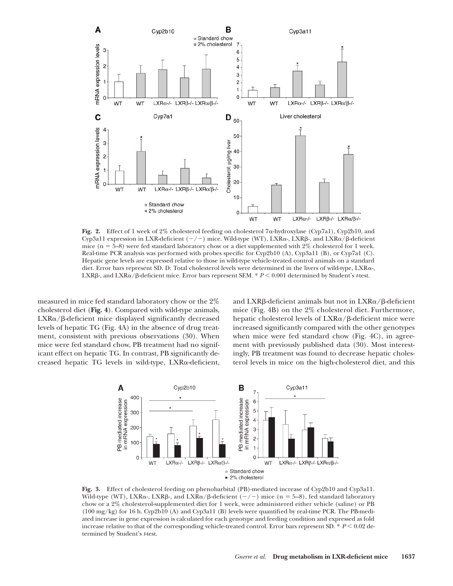

Fig. 2. Effect of 1 week of 2% cholesterol feeding on cholesterol 7 $\alpha$ -hydroxylase (Cyp7a1), Cyp2b10, and Cyp3a11 expression in LXR-deficient  $(-/-)$  mice. Wild-type (WT), LXR $\alpha$ -, LXR $\beta$ -, and LXR $\alpha/\beta$ -deficient mice ( $n = 5-8$ ) were fed standard laboratory chow or a diet supplemented with 2% cholesterol for 1 week. Real-time PCR analysis was performed with probes specific for Cyp2b10 (A), Cyp3a11 (B), or Cyp7a1 (C). Hepatic gene levels are expressed relative to those in wild-type vehicle-treated control animals on a standard diet. Error bars represent SD. D: Total cholesterol levels were determined in the livers of wild-type,  $\text{LXR}_\gamma$ LXRβ-, and LXR $\alpha$ /β-deficient mice. Error bars represent SEM. \*  $P$  < 0.001 determined by Student's *t*-test.

measured in mice fed standard laboratory chow or the 2% cholesterol diet (**Fig. 4**). Compared with wild-type animals, LXRa/ß-deficient mice displayed significantly decreased levels of hepatic TG (Fig. 4A) in the absence of drug treatment, consistent with previous observations (30). When mice were fed standard chow, PB treatment had no significant effect on hepatic TG. In contrast, PB significantly decreased hepatic TG levels in wild-type, LXRa-deficient,

and  $\text{LXR}\beta\text{-deficient}$  animals but not in  $\text{LXR}\alpha/\beta\text{-deficient}$ mice (Fig. 4B) on the 2% cholesterol diet. Furthermore, hepatic cholesterol levels of LXRa/ $\beta$ -deficient mice were increased significantly compared with the other genotypes when mice were fed standard chow (Fig. 4C), in agreement with previously published data (30). Most interestingly, PB treatment was found to decrease hepatic cholesterol levels in mice on the high-cholesterol diet, and this



**Fig. 3.** Effect of cholesterol feeding on phenobarbital (PB)-mediated increase of Cyp2b10 and Cyp3a11. Wild-type (WT), LXRα-, LXRβ-, and LXRα/β-deficient (–/–) mice (n = 5–8), fed standard laboratory chow or a 2% cholesterol-supplemented diet for 1 week, were administered either vehicle (saline) or PB (100 mg/kg) for 16 h. Cyp2b10 (A) and Cyp3a11 (B) levels were quantified by real-time PCR. The PB-mediated increase in gene expression is calculated for each genotype and feeding condition and expressed as fold increase relative to that of the corresponding vehicle-treated control. Error bars represent SD.  $* P < 0.02$  determined by Student's *t*-test.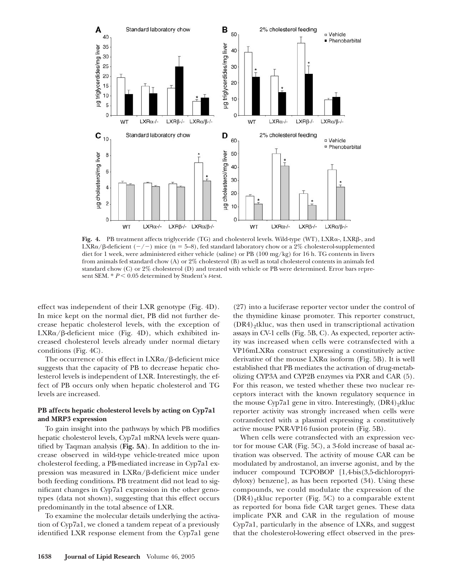

Fig. 4. PB treatment affects triglyceride  $(TG)$  and cholesterol levels. Wild-type  $(WT)$ ,  $LXR_{\alpha}$ -,  $LXR_{\beta}$ -, and LXR $\alpha$ / $\beta$ -deficient (-/-) mice (n = 5–8), fed standard laboratory chow or a 2% cholesterol-supplemented diet for 1 week, were administered either vehicle (saline) or PB (100 mg/kg) for 16 h. TG contents in livers from animals fed standard chow (A) or 2% cholesterol (B) as well as total cholesterol contents in animals fed standard chow (C) or 2% cholesterol (D) and treated with vehicle or PB were determined. Error bars represent SEM. \*  $P$  < 0.05 determined by Student's *t*-test.

effect was independent of their LXR genotype (Fig. 4D). In mice kept on the normal diet, PB did not further decrease hepatic cholesterol levels, with the exception of LXRa/ $\beta$ -deficient mice (Fig. 4D), which exhibited increased cholesterol levels already under normal dietary conditions (Fig. 4C).

The occurrence of this effect in  $\textup{LXR}\alpha/\beta$ -deficient mice suggests that the capacity of PB to decrease hepatic cholesterol levels is independent of LXR. Interestingly, the effect of PB occurs only when hepatic cholesterol and TG levels are increased.

# **PB affects hepatic cholesterol levels by acting on Cyp7a1 and MRP3 expression**

To gain insight into the pathways by which PB modifies hepatic cholesterol levels, Cyp7a1 mRNA levels were quantified by Taqman analysis (**Fig. 5A**). In addition to the increase observed in wild-type vehicle-treated mice upon cholesterol feeding, a PB-mediated increase in Cyp7a1 expression was measured in LXRa/ $\beta$ -deficient mice under both feeding conditions. PB treatment did not lead to significant changes in Cyp7a1 expression in the other genotypes (data not shown), suggesting that this effect occurs predominantly in the total absence of LXR.

To examine the molecular details underlying the activation of Cyp7a1, we cloned a tandem repeat of a previously identified LXR response element from the Cyp7a1 gene

(27) into a luciferase reporter vector under the control of the thymidine kinase promoter. This reporter construct,  $(DR4)$ <sub>2</sub>tkluc, was then used in transcriptional activation assays in CV-1 cells (Fig. 5B, C). As expected, reporter activity was increased when cells were cotransfected with a VP16mLXRa construct expressing a constitutively active derivative of the mouse LXR $\alpha$  isoform (Fig. 5B). It is well established that PB mediates the activation of drug-metabolizing CYP3A and CYP2B enzymes via PXR and CAR (5). For this reason, we tested whether these two nuclear receptors interact with the known regulatory sequence in the mouse Cyp7a1 gene in vitro. Interestingly, (DR4)<sub>2</sub>tkluc reporter activity was strongly increased when cells were cotransfected with a plasmid expressing a constitutively active mouse PXR-VP16 fusion protein (Fig. 5B).

When cells were cotransfected with an expression vector for mouse CAR (Fig. 5C), a 3-fold increase of basal activation was observed. The activity of mouse CAR can be modulated by androstanol, an inverse agonist, and by the inducer compound TCPOBOP [1,4-bis(3,5-dichloropyridyloxy) benzene], as has been reported (34). Using these compounds, we could modulate the expression of the  $(DR4)$ <sub>2</sub>tkluc reporter (Fig. 5C) to a comparable extent as reported for bona fide CAR target genes. These data implicate PXR and CAR in the regulation of mouse Cyp7a1, particularly in the absence of LXRs, and suggest that the cholesterol-lowering effect observed in the pres-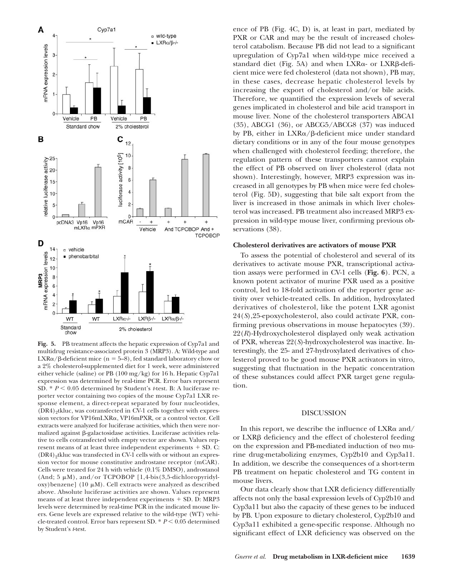

**Fig. 5.** PB treatment affects the hepatic expression of Cyp7a1 and multidrug resistance-associated protein 3 (MRP3). A: Wild-type and  $LXR\alpha/\beta$ -deficient mice (n = 5–8), fed standard laboratory chow or a 2% cholesterol-supplemented diet for 1 week, were administered either vehicle (saline) or PB (100 mg/kg) for 16 h. Hepatic Cyp7a1 expression was determined by real-time PCR. Error bars represent SD.  $* P < 0.05$  determined by Student's *t*-test. B: A luciferase reporter vector containing two copies of the mouse Cyp7a1 LXR response element, a direct-repeat separated by four nucleotides,  $(DR4)$ <sub>2</sub>tkluc, was cotransfected in CV-1 cells together with expression vectors for VP16mLXR&, VP16mPXR, or a control vector. Cell extracts were analyzed for luciferase activities, which then were normalized against  $\beta$ -galactosidase activities. Luciferase activities relative to cells cotransfected with empty vector are shown. Values represent means of at least three independent experiments  $+$  SD. C:  $(DR4)$ <sub>2</sub>tkluc was transfected in CV-1 cells with or without an expression vector for mouse constitutive androstane receptor (mCAR). Cells were treated for 24 h with vehicle (0.1% DMSO), androstanol (And;  $5 \mu M$ ), and/or TCPOBOP [1,4-bis(3,5-dichloropyridyloxy)benzene] (10  $\mu$ M). Cell extracts were analyzed as described above. Absolute luciferase activities are shown. Values represent means of at least three independent experiments  $+$  SD. D: MRP3 levels were determined by real-time PCR in the indicated mouse livers. Gene levels are expressed relative to the wild-type (WT) vehicle-treated control. Error bars represent SD.  $* P \leq 0.05$  determined by Student's *t*-test.

ence of PB (Fig. 4C, D) is, at least in part, mediated by PXR or CAR and may be the result of increased cholesterol catabolism. Because PB did not lead to a significant upregulation of Cyp7a1 when wild-type mice received a standard diet (Fig. 5A) and when LXRa- or LXRß-deficient mice were fed cholesterol (data not shown), PB may, in these cases, decrease hepatic cholesterol levels by increasing the export of cholesterol and/or bile acids. Therefore, we quantified the expression levels of several genes implicated in cholesterol and bile acid transport in mouse liver. None of the cholesterol transporters ABCA1 (35), ABCG1 (36), or ABCG5/ABCG8 (37) was induced by PB, either in LXRα/β-deficient mice under standard dietary conditions or in any of the four mouse genotypes when challenged with cholesterol feeding; therefore, the regulation pattern of these transporters cannot explain the effect of PB observed on liver cholesterol (data not shown). Interestingly, however, MRP3 expression was increased in all genotypes by PB when mice were fed cholesterol (Fig. 5D), suggesting that bile salt export from the liver is increased in those animals in which liver cholesterol was increased. PB treatment also increased MRP3 expression in wild-type mouse liver, confirming previous observations (38).

#### **Cholesterol derivatives are activators of mouse PXR**

To assess the potential of cholesterol and several of its derivatives to activate mouse PXR, transcriptional activation assays were performed in CV-1 cells (**Fig. 6**). PCN, a known potent activator of murine PXR used as a positive control, led to 18-fold activation of the reporter gene activity over vehicle-treated cells. In addition, hydroxylated derivatives of cholesterol, like the potent LXR agonist 24(*S*),25-epoxycholesterol, also could activate PXR, confirming previous observations in mouse hepatocytes (39). 22(*R*)-Hydroxycholesterol displayed only weak activation of PXR, whereas 22(*S*)-hydroxycholesterol was inactive. Interestingly, the 25- and 27-hydroxylated derivatives of cholesterol proved to be good mouse PXR activators in vitro, suggesting that fluctuation in the hepatic concentration of these substances could affect PXR target gene regulation.

## DISCUSSION

In this report, we describe the influence of  $LXR\alpha$  and/ or LXR<sub>B</sub> deficiency and the effect of cholesterol feeding on the expression and PB-mediated induction of two murine drug-metabolizing enzymes, Cyp2b10 and Cyp3a11. In addition, we describe the consequences of a short-term PB treatment on hepatic cholesterol and TG content in mouse livers.

Our data clearly show that LXR deficiency differentially affects not only the basal expression levels of Cyp2b10 and Cyp3a11 but also the capacity of these genes to be induced by PB. Upon exposure to dietary cholesterol, Cyp2b10 and Cyp3a11 exhibited a gene-specific response. Although no significant effect of LXR deficiency was observed on the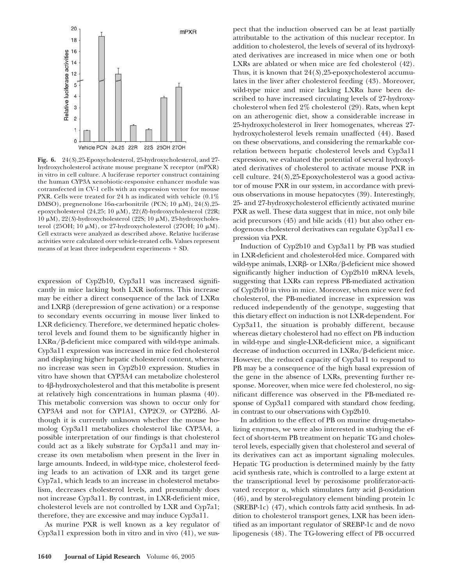

**Fig. 6.** 24(*S*),25-Epoxycholesterol, 25-hydroxycholesterol, and 27 hydroxycholesterol activate mouse pregnane X receptor (mPXR) in vitro in cell culture. A luciferase reporter construct containing the human CYP3A xenobiotic-responsive enhancer module was cotransfected in CV-1 cells with an expression vector for mouse PXR. Cells were treated for 24 h as indicated with vehicle (0.1% DMSO), pregnenolone 16α-carbonitrile (PCN; 10 μM), 24(*S*),25epoxycholesterol (24,25; 10 μM), 22(R)-hydroxycholesterol (22R; 10 μM), 22(S)-hydroxycholesterol (22S; 10 μM), 25-hydroxycholesterol (25OH; 10  $\mu$ M), or 27-hydroxycholesterol (27OH; 10  $\mu$ M). Cell extracts were analyzed as described above. Relative luciferase activities were calculated over vehicle-treated cells. Values represent means of at least three independent experiments  $+$  SD.

expression of Cyp2b10, Cyp3a11 was increased significantly in mice lacking both LXR isoforms. This increase may be either a direct consequence of the lack of  $LXR\alpha$ and  $LXR\beta$  (derepression of gene activation) or a response to secondary events occurring in mouse liver linked to LXR deficiency. Therefore, we determined hepatic cholesterol levels and found them to be significantly higher in  $LXR\alpha/\beta$ -deficient mice compared with wild-type animals. Cyp3a11 expression was increased in mice fed cholesterol and displaying higher hepatic cholesterol content, whereas no increase was seen in Cyp2b10 expression. Studies in vitro have shown that CYP3A4 can metabolize cholesterol to 4β-hydroxycholesterol and that this metabolite is present at relatively high concentrations in human plasma (40). This metabolic conversion was shown to occur only for CYP3A4 and not for CYP1A1, CYP2C9, or CYP2B6. Although it is currently unknown whether the mouse homolog Cyp3a11 metabolizes cholesterol like CYP3A4, a possible interpretation of our findings is that cholesterol could act as a likely substrate for Cyp3a11 and may increase its own metabolism when present in the liver in large amounts. Indeed, in wild-type mice, cholesterol feeding leads to an activation of LXR and its target gene Cyp7a1, which leads to an increase in cholesterol metabolism, decreases cholesterol levels, and presumably does not increase Cyp3a11. By contrast, in LXR-deficient mice, cholesterol levels are not controlled by LXR and Cyp7a1; therefore, they are excessive and may induce Cyp3a11.

As murine PXR is well known as a key regulator of Cyp3a11 expression both in vitro and in vivo (41), we suspect that the induction observed can be at least partially attributable to the activation of this nuclear receptor. In addition to cholesterol, the levels of several of its hydroxylated derivatives are increased in mice when one or both LXRs are ablated or when mice are fed cholesterol (42). Thus, it is known that 24(*S*),25-epoxycholesterol accumulates in the liver after cholesterol feeding (43). Moreover, wild-type mice and mice lacking LXRa have been described to have increased circulating levels of 27-hydroxycholesterol when fed 2% cholesterol (29). Rats, when kept on an atherogenic diet, show a considerable increase in 25-hydroxycholesterol in liver homogenates, whereas 27 hydroxycholesterol levels remain unaffected (44). Based on these observations, and considering the remarkable correlation between hepatic cholesterol levels and Cyp3a11 expression, we evaluated the potential of several hydroxylated derivatives of cholesterol to activate mouse PXR in cell culture. 24(*S*),25-Epoxycholesterol was a good activator of mouse PXR in our system, in accordance with previous observations in mouse hepatocytes (39). Interestingly, 25- and 27-hydroxycholesterol efficiently activated murine PXR as well. These data suggest that in mice, not only bile acid precursors (45) and bile acids (41) but also other endogenous cholesterol derivatives can regulate Cyp3a11 expression via PXR.

Induction of Cyp2b10 and Cyp3a11 by PB was studied in LXR-deficient and cholesterol-fed mice. Compared with wild-type animals, LXRß- or LXRa/ß-deficient mice showed significantly higher induction of Cyp2b10 mRNA levels, suggesting that LXRs can repress PB-mediated activation of Cyp2b10 in vivo in mice. Moreover, when mice were fed cholesterol, the PB-mediated increase in expression was reduced independently of the genotype, suggesting that this dietary effect on induction is not LXR-dependent. For Cyp3a11, the situation is probably different, because whereas dietary cholesterol had no effect on PB induction in wild-type and single-LXR-deficient mice, a significant decrease of induction occurred in  $LXR\alpha/\beta$ -deficient mice. However, the reduced capacity of Cyp3a11 to respond to PB may be a consequence of the high basal expression of the gene in the absence of LXRs, preventing further response. Moreover, when mice were fed cholesterol, no significant difference was observed in the PB-mediated response of Cyp3a11 compared with standard chow feeding, in contrast to our observations with Cyp2b10.

In addition to the effect of PB on murine drug-metabolizing enzymes, we were also interested in studying the effect of short-term PB treatment on hepatic TG and cholesterol levels, especially given that cholesterol and several of its derivatives can act as important signaling molecules. Hepatic TG production is determined mainly by the fatty acid synthesis rate, which is controlled to a large extent at the transcriptional level by peroxisome proliferator-activated receptor  $\alpha$ , which stimulates fatty acid ß-oxidation (46), and by sterol-regulatory element binding protein 1c (SREBP-1c) (47), which controls fatty acid synthesis. In addition to cholesterol transport genes, LXR has been identified as an important regulator of SREBP-1c and de novo lipogenesis (48). The TG-lowering effect of PB occurred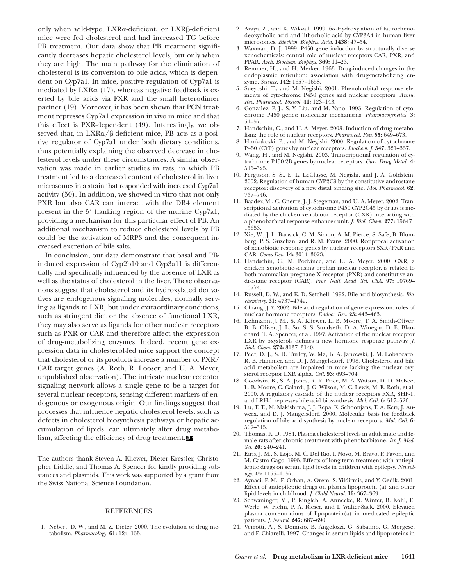only when wild-type, LXRa-deficient, or LXRß-deficient mice were fed cholesterol and had increased TG before PB treatment. Our data show that PB treatment significantly decreases hepatic cholesterol levels, but only when they are high. The main pathway for the elimination of cholesterol is its conversion to bile acids, which is dependent on Cyp7a1. In mice, positive regulation of Cyp7a1 is mediated by  $LXR\alpha$  (17), whereas negative feedback is exerted by bile acids via FXR and the small heterodimer partner (19). Moreover, it has been shown that PCN treatment represses Cyp7a1 expression in vivo in mice and that this effect is PXR-dependent (49). Interestingly, we observed that, in LXRa/ $\beta$ -deficient mice, PB acts as a positive regulator of Cyp7a1 under both dietary conditions, thus potentially explaining the observed decrease in cholesterol levels under these circumstances. A similar observation was made in earlier studies in rats, in which PB treatment led to a decreased content of cholesterol in liver microsomes in a strain that responded with increased Cyp7a1 activity (50). In addition, we showed in vitro that not only PXR but also CAR can interact with the DR4 element present in the 5' flanking region of the murine Cyp7a1, providing a mechanism for this particular effect of PB. An additional mechanism to reduce cholesterol levels by PB could be the activation of MRP3 and the consequent increased excretion of bile salts.

In conclusion, our data demonstrate that basal and PBinduced expression of Cyp2b10 and Cyp3a11 is differentially and specifically influenced by the absence of LXR as well as the status of cholesterol in the liver. These observations suggest that cholesterol and its hydroxylated derivatives are endogenous signaling molecules, normally serving as ligands to LXR, but under extraordinary conditions, such as stringent diet or the absence of functional LXR, they may also serve as ligands for other nuclear receptors such as PXR or CAR and therefore affect the expression of drug-metabolizing enzymes. Indeed, recent gene expression data in cholesterol-fed mice support the concept that cholesterol or its products increase a number of PXR/ CAR target genes (A. Roth, R. Looser, and U. A. Meyer, unpublished observation). The intricate nuclear receptor signaling network allows a single gene to be a target for several nuclear receptors, sensing different markers of endogenous or exogenous origin. Our findings suggest that processes that influence hepatic cholesterol levels, such as defects in cholesterol biosynthesis pathways or hepatic accumulation of lipids, can ultimately alter drug metabolism, affecting the efficiency of drug treatment.

The authors thank Steven A. Kliewer, Dieter Kressler, Christopher Liddle, and Thomas A. Spencer for kindly providing substances and plasmids. This work was supported by a grant from the Swiss National Science Foundation.

## REFERENCES

1. Nebert, D. W., and M. Z. Dieter. 2000. The evolution of drug metabolism. *Pharmacology.* **61:** 124–135.

- 2. Araya, Z., and K. Wikvall. 1999. 6&-Hydroxylation of taurochenodeoxycholic acid and lithocholic acid by CYP3A4 in human liver microsomes. *Biochim. Biophys. Acta.* **1438:** 47–54.
- 3. Waxman, D. J. 1999. P450 gene induction by structurally diverse xenochemicals: central role of nuclear receptors CAR, PXR, and PPAR. *Arch. Biochem. Biophys.* **369:** 11–23.
- 4. Remmer, H., and H. Merker. 1963. Drug-induced changes in the endoplasmic reticulum: association with drug-metabolizing enzyme. *Science.* **142:** 1657–1658.
- 5. Sueyoshi, T., and M. Negishi. 2001. Phenobarbital response elements of cytochrome P450 genes and nuclear receptors. *Annu. Rev. Pharmacol. Toxicol.* **41:** 123–143.
- 6. Gonzalez, F. J., S. Y. Liu, and M. Yano. 1993. Regulation of cytochrome P450 genes: molecular mechanisms. *Pharmacogenetics.* **3:** 51–57.
- 7. Handschin, C., and U. A. Meyer. 2003. Induction of drug metabolism: the role of nuclear receptors. *Pharmacol. Rev.* **55:** 649–673.
- 8. Honkakoski, P., and M. Negishi. 2000. Regulation of cytochrome P450 (CYP) genes by nuclear receptors. *Biochem. J.* **347:** 321–337.
- 9. Wang, H., and M. Negishi. 2003. Transcriptional regulation of cytochrome P450 2B genes by nuclear receptors. *Curr. Drug Metab.* **4:** 515–525.
- 10. Ferguson, S. S., E. L. LeCluyse, M. Negishi, and J. A. Goldstein. 2002. Regulation of human CYP2C9 by the constitutive androstane receptor: discovery of a new distal binding site. *Mol. Pharmacol.* **62:** 737–746.
- 11. Baader, M., C. Gnerre, J. J. Stegeman, and U. A. Meyer. 2002. Transcriptional activation of cytochrome P450 CYP2C45 by drugs is mediated by the chicken xenobiotic receptor (CXR) interacting with a phenobarbital response enhancer unit. *J. Biol. Chem.* **277:** 15647– 15653.
- 12. Xie, W., J. L. Barwick, C. M. Simon, A. M. Pierce, S. Safe, B. Blumberg, P. S. Guzelian, and R. M. Evans. 2000. Reciprocal activation of xenobiotic response genes by nuclear receptors SXR/PXR and CAR. *Genes Dev.* **14:** 3014–3023.
- 13. Handschin, C., M. Podvinec, and U. A. Meyer. 2000. CXR, a chicken xenobiotic-sensing orphan nuclear receptor, is related to both mammalian pregnane X receptor (PXR) and constitutive androstane receptor (CAR). *Proc. Natl. Acad. Sci. USA.* **97:** 10769– 10774.
- 14. Russell, D. W., and K. D. Setchell. 1992. Bile acid biosynthesis. *Biochemistry.* **31:** 4737–4749.
- 15. Chiang, J. Y. 2002. Bile acid regulation of gene expression: roles of nuclear hormone receptors. *Endocr. Rev.* **23:** 443–463.
- 16. Lehmann, J. M., S. A. Kliewer, L. B. Moore, T. A. Smith-Oliver, B. B. Oliver, J. L. Su, S. S. Sundseth, D. A. Winegar, D. E. Blanchard, T. A. Spencer, et al. 1997. Activation of the nuclear receptor LXR by oxysterols defines a new hormone response pathway. *J. Biol. Chem.* **272:** 3137–3140.
- 17. Peet, D. J., S. D. Turley, W. Ma, B. A. Janowski, J. M. Lobaccaro, R. E. Hammer, and D. J. Mangelsdorf. 1998. Cholesterol and bile acid metabolism are impaired in mice lacking the nuclear oxysterol receptor LXR alpha. *Cell.* **93:** 693–704.
- 18. Goodwin, B., S. A. Jones, R. R. Price, M. A. Watson, D. D. McKee, L. B. Moore, C. Galardi, J. G. Wilson, M. C. Lewis, M. E. Roth, et al. 2000. A regulatory cascade of the nuclear receptors FXR, SHP-1, and LRH-1 represses bile acid biosynthesis. *Mol. Cell.* **6:** 517–526.
- 19. Lu, T. T., M. Makishima, J. J. Repa, K. Schoonjans, T. A. Kerr, J. Auwerx, and D. J. Mangelsdorf. 2000. Molecular basis for feedback regulation of bile acid synthesis by nuclear receptors. *Mol. Cell.* **6:** 507–515.
- 20. Thomas, K. D. 1984. Plasma cholesterol levels in adult male and female rats after chronic treatment with phenobarbitone. *Isr. J. Med. Sci.* **20:** 240–241.
- 21. Eiris, J. M., S. Lojo, M. C. Del Rio, I. Novo, M. Bravo, P. Pavon, and M. Castro-Gago. 1995. Effects of long-term treatment with antiepileptic drugs on serum lipid levels in children with epilepsy. *Neurology.* **45:** 1155–1157.
- 22. Aynaci, F. M., F. Orhan, A. Orem, S. Yildirmis, and Y. Gedik. 2001. Effect of antiepileptic drugs on plasma lipoprotein (a) and other lipid levels in childhood. *J. Child Neurol.* **16:** 367–369.
- 23. Schwaninger, M., P. Ringleb, A. Annecke, R. Winter, B. Kohl, E. Werle, W. Fiehn, P. A. Rieser, and I. Walter-Sack. 2000. Elevated plasma concentrations of lipoprotein(a) in medicated epileptic patients. *J. Neurol.* **247:** 687–690.
- 24. Verrotti, A., S. Domizio, B. Angelozzi, G. Sabatino, G. Morgese, and F. Chiarelli. 1997. Changes in serum lipids and lipoproteins in